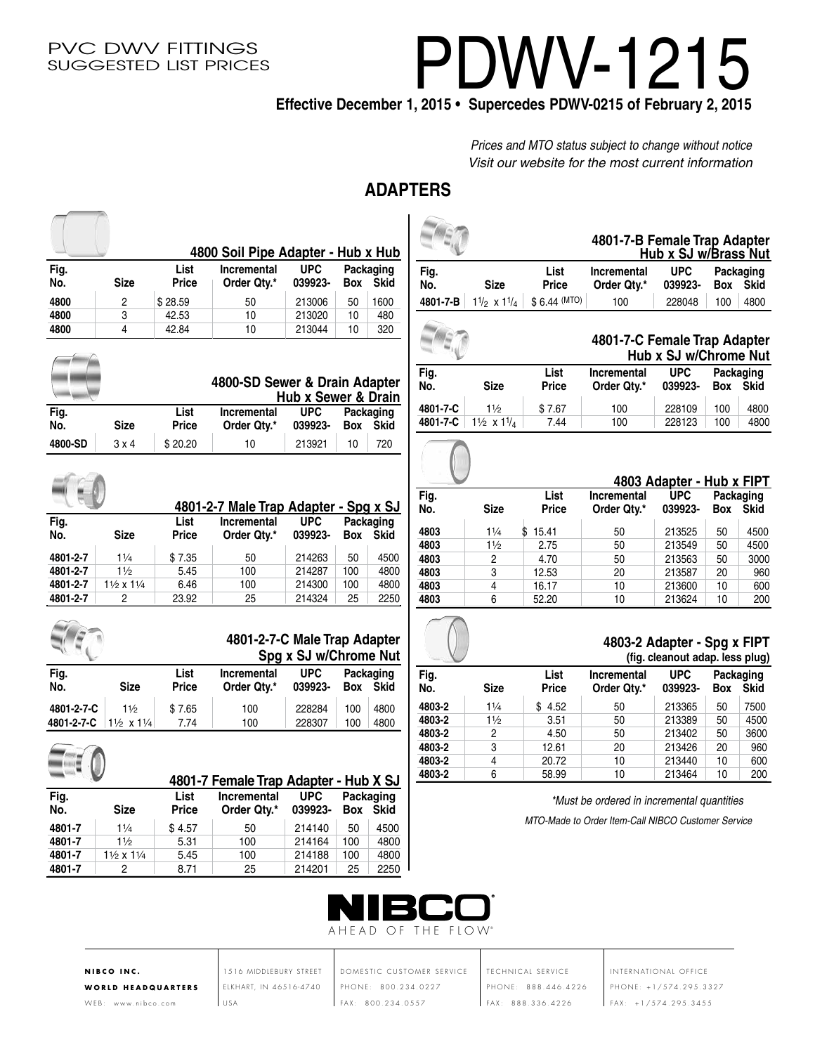# PDWV-1215

**Effective December 1, 2015 • Supercedes PDWV-0215 of February 2, 2015**

*Prices and MTO status subject to change without notice Visit our website for the most current information*

## **ADAPTERS**

|                  |                                      |               | 4800 Soil Pipe Adapter - Hub x Hub    |                       |           |                          |             |                                    |
|------------------|--------------------------------------|---------------|---------------------------------------|-----------------------|-----------|--------------------------|-------------|------------------------------------|
| Fig.<br>No.      | <b>Size</b>                          | List<br>Price | Incremental<br>Order Qty.*            | <b>UPC</b><br>039923- | Box       | Packaging<br><b>Skid</b> | Fig.<br>No. | <b>Size</b>                        |
| 4800             | 2                                    | \$28.59       | 50                                    | 213006                | 50        | 1600                     | 4801-7-B    | $1\frac{1}{2} \times 1\frac{1}{4}$ |
| 4800             | 3                                    | 42.53         | 10                                    | 213020                | 10        | 480                      |             |                                    |
| 4800             | 4                                    | 42.84         | 10                                    | 213044                | 10        | 320                      |             |                                    |
|                  |                                      |               |                                       |                       |           |                          | Fig.        |                                    |
|                  |                                      |               | 4800-SD Sewer & Drain Adapter         | Hub x Sewer & Drain   |           |                          | No.         | <b>Size</b>                        |
| Fig.             |                                      | List          | <b>Incremental</b>                    | <b>UPC</b>            |           | Packaging                | 4801-7-C    | 11/2                               |
| No.              | <b>Size</b>                          | Price         | Order Qty.*                           | 039923-               | Box       | <b>Skid</b>              | 4801-7-C    | $1\frac{1}{2} \times 1\frac{1}{4}$ |
| 4800-SD          | 3x4                                  | \$20.20       | 10                                    | 213921                | 10        | 720                      |             |                                    |
|                  |                                      |               |                                       |                       |           |                          |             |                                    |
|                  |                                      |               | 4801-2-7 Male Trap Adapter - Spg x SJ |                       |           |                          | Fig.<br>No. | <b>Size</b>                        |
| Fig.             |                                      | List          | Incremental                           | <b>UPC</b>            |           | Packaging                | 4803        | \$<br>11/4                         |
| No.              | <b>Size</b>                          | Price         | Order Qty.*                           | 039923-               | Box       | Skid                     | 4803        | $1\frac{1}{2}$                     |
| 4801-2-7         | 11/4                                 | \$7.35        | 50                                    | 214263                | 50        | 4500                     | 4803        | $\overline{c}$                     |
| 4801-2-7         | 11/2                                 | 5.45          | 100                                   | 214287                | 100       | 4800                     | 4803        | 3                                  |
|                  |                                      |               |                                       |                       |           |                          |             |                                    |
| 4801-2-7         | 11/2 x 11/4                          | 6.46          | 100                                   | 214300                | 100       | 4800                     | 4803        | 4                                  |
| 4801-2-7         | $\overline{c}$                       | 23.92         | 25                                    | 214324                | 25        | 2250                     | 4803        | 6                                  |
|                  |                                      |               | 4801-2-7-C Male Trap Adapter          | Spg x SJ w/Chrome Nut |           |                          |             |                                    |
| Fig.             |                                      | List          | <b>Incremental</b>                    | <b>UPC</b>            |           | Packaging                | Fig.        |                                    |
| No.              | <b>Size</b>                          | Price         | Order Qty.*                           | 039923-               | Box       | <b>Skid</b>              | No.         | <b>Size</b>                        |
| 4801-2-7-C       | 11/2                                 | \$7.65        | 100                                   | 228284                | 100       | 4800                     | 4803-2      | 11/4                               |
| 4801-2-7-C       | 11/2 x 11/4                          | 7.74          | 100                                   | 228307                | 100       | 4800                     | 4803-2      | 11/2                               |
|                  |                                      |               |                                       |                       |           |                          | 4803-2      | 2                                  |
|                  |                                      |               |                                       |                       |           |                          | 4803-2      | 3                                  |
|                  |                                      |               |                                       |                       |           |                          | 4803-2      | $\overline{4}$                     |
|                  |                                      |               | 4801-7 Female Trap Adapter - Hub X SJ |                       |           |                          | 4803-2      | 6                                  |
| Fig.             |                                      | List          | <b>Incremental</b>                    | <b>UPC</b>            |           | Packaging                |             |                                    |
| No.              | <b>Size</b>                          | Price         | Order Qty.*                           | 039923-               |           | Box Skid                 |             |                                    |
| 4801-7           | $1\frac{1}{4}$                       | \$4.57        | 50                                    | 214140                | 50        | 4500                     |             |                                    |
| 4801-7           | 11/2                                 | 5.31          | 100                                   | 214164                | 100       | 4800                     |             |                                    |
| 4801-7<br>4801-7 | $1\frac{1}{2}$ x $1\frac{1}{4}$<br>2 | 5.45<br>8.71  | 100<br>25                             | 214188<br>214201      | 100<br>25 | 4800<br>2250             |             |                                    |

AHEAD OF THE FLOW®

| <b>NIBCO INC.</b> |                           |
|-------------------|---------------------------|
|                   | <b>WORLD HEADQUARTERS</b> |

WEB: www.nibco.com

1516 MIDDLEBURY STREET ELKHART, IN 46516-4740  $\vert$  USA

DOMESTIC CUSTOMER SERVICE PHONE: 800.234.0227 FAX: 800.234.0557

TECHNICAL SERVICE PHONE: 888.446.4226 FAX: 888.336.4226

INTERNATIONAL OFFICE PHONE: +1/574.295.3327  $FAX: +1/574.295.3455$ 

|             |                                 |                      |                                   | 4801-7-B Female Trap Adapter<br>Hub x SJ w/Brass Nut |                          |  |  |
|-------------|---------------------------------|----------------------|-----------------------------------|------------------------------------------------------|--------------------------|--|--|
| Fig.<br>No. | <b>Size</b>                     | List<br><b>Price</b> | <b>Incremental</b><br>Order Qtv.* | <b>UPC</b><br>039923-                                | Packaging<br>Skid<br>Box |  |  |
| 4801-7-B    | $1\frac{1}{2}$ x $1\frac{1}{4}$ | $$6.44$ (MTO)        | 100                               | 228048                                               | 4800<br>100              |  |  |
|             |                                 |                      |                                   |                                                      |                          |  |  |

|             |                                    |                      | 4801-7-C Female Trap Adapter      | Hub x SJ w/Chrome Nut |            |                          |
|-------------|------------------------------------|----------------------|-----------------------------------|-----------------------|------------|--------------------------|
| Fig.<br>No. | <b>Size</b>                        | List<br><b>Price</b> | <b>Incremental</b><br>Order Qty.* | <b>UPC</b><br>039923- | <b>Box</b> | Packaging<br><b>Skid</b> |
| 4801-7-C    | 11/2                               | \$7.67               | 100                               | 228109                | 100        | 4800                     |
| 4801-7-C    | $1\frac{1}{2} \times 1\frac{1}{4}$ | 7.44                 | 100                               | 228123                | 100        | 4800                     |

|             |                |               |                                   | 4803 Adapter - Hub x FIPT |     |                          |
|-------------|----------------|---------------|-----------------------------------|---------------------------|-----|--------------------------|
| Fig.<br>No. | Size           | List<br>Price | <b>Incremental</b><br>Order Qtv.* | <b>UPC</b><br>039923-     | Box | Packaging<br><b>Skid</b> |
| 4803        | 11/4           | 15.41<br>S    | 50                                | 213525                    | 50  | 4500                     |
| 4803        | $1\frac{1}{2}$ | 2.75          | 50                                | 213549                    | 50  | 4500                     |
| 4803        | 2              | 4.70          | 50                                | 213563                    | 50  | 3000                     |
| 4803        | 3              | 12.53         | 20                                | 213587                    | 20  | 960                      |
| 4803        | 4              | 16.17         | 10                                | 213600                    | 10  | 600                      |
| 4803        | 6              | 52.20         | 10                                | 213624                    | 10  | 200                      |

#### **4803-2 Adapter - Spg x FIPT (fig. cleanout adap. less plug)**

|                            |                | ("g: viva::va: aaap: :voo p:ag; |                                   |                       |                                 |      |
|----------------------------|----------------|---------------------------------|-----------------------------------|-----------------------|---------------------------------|------|
| Fig.<br>No.<br><b>Size</b> |                | List<br><b>Price</b>            | <b>Incremental</b><br>Order Qty.* | <b>UPC</b><br>039923- | Packaging<br><b>Skid</b><br>Box |      |
| 4803-2                     | 11/4           | \$4.52                          | 50                                | 213365                | 50                              | 7500 |
| 4803-2                     | $1\frac{1}{2}$ | 3.51                            | 50                                | 213389                | 50                              | 4500 |
| 4803-2                     | 2              | 4.50                            | 50                                | 213402                | 50                              | 3600 |
| 4803-2                     | 3              | 12.61                           | 20                                | 213426                | 20                              | 960  |
| 4803-2                     | 4              | 20.72                           | 10                                | 213440                | 10                              | 600  |
| 4803-2                     | 6              | 58.99                           | 10                                | 213464                | 10                              | 200  |

*\*Must be ordered in incremental quantities MTO-Made to Order Item-Call NIBCO Customer Service*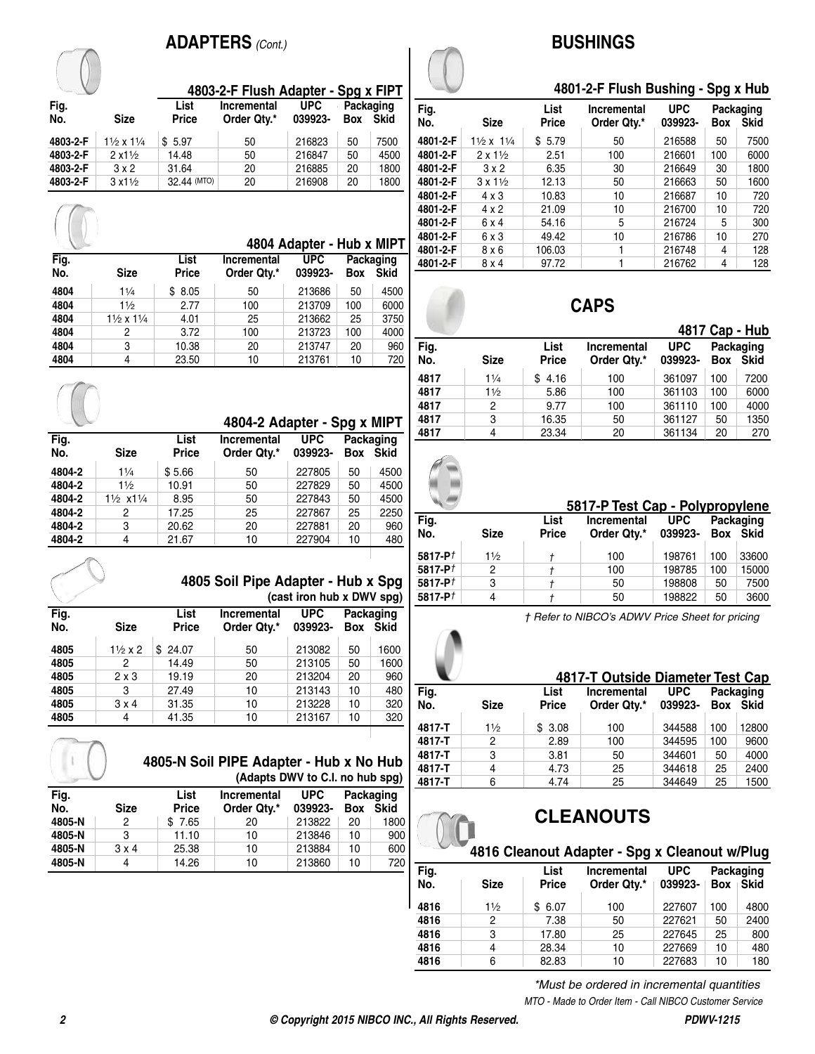## **ADAPTERS** *(Cont.)*



|             |                                 |                      |                                   | 4804 Adapter - Hub x MIPT |                                               |      |  |  |
|-------------|---------------------------------|----------------------|-----------------------------------|---------------------------|-----------------------------------------------|------|--|--|
| Fig.<br>No. | <b>Size</b>                     | List<br><b>Price</b> | <b>Incremental</b><br>Order Qty.* | <b>UPC</b><br>039923-     | <b>Packaging</b><br><b>Skid</b><br><b>Box</b> |      |  |  |
| 4804        | 11/4                            | \$8.05               | 50                                | 213686                    | 50                                            | 4500 |  |  |
| 4804        | $1\frac{1}{2}$                  | 2.77                 | 100                               | 213709                    | 100                                           | 6000 |  |  |
| 4804        | $1\frac{1}{2}$ x $1\frac{1}{4}$ | 4.01                 | 25                                | 213662                    | 25                                            | 3750 |  |  |
| 4804        | 2                               | 3.72                 | 100                               | 213723                    | 100                                           | 4000 |  |  |
| 4804        | 3                               | 10.38                | 20                                | 213747                    | 20                                            | 960  |  |  |
| 4804        | 4                               | 23.50                | 10                                | 213761                    | 10                                            | 720  |  |  |

|             |                                 |                      |                             |                       |                 |                   |      |             | .            | .                               |            |    | .               |
|-------------|---------------------------------|----------------------|-----------------------------|-----------------------|-----------------|-------------------|------|-------------|--------------|---------------------------------|------------|----|-----------------|
|             |                                 |                      | 4804-2 Adapter - Spg x MIPT |                       |                 |                   | 4817 | 3           | 16.35        | 50                              | 361127     | 50 | 1350            |
| Fig.<br>No. | <b>Size</b>                     | List<br><b>Price</b> | Incremental<br>Order Qty.*  | <b>UPC</b><br>039923- | Box             | Packaging<br>Skid | 4817 | 4           | 23.34        | 20                              | 361134     | 20 | 270             |
| 4804-2      | 11/4                            | \$5.66               | 50                          | 227805                | 50              | 4500              |      |             |              |                                 |            |    |                 |
| 4804-2      | $1\frac{1}{2}$                  | 10.91                | 50                          | 227829                | 50              | 4500              |      |             |              |                                 |            |    |                 |
| 4804-2      | $1\frac{1}{2}$ x1 $\frac{1}{4}$ | 8.95                 | 50                          | 227843                | 50              | 4500              |      |             |              |                                 |            |    |                 |
| 4804-2      |                                 | 17.25                | 25                          | 227867                | 25              | 2250              |      |             |              | 5817-P Test Cap - Polypropylene |            |    |                 |
| 4804-2      | 3                               | 20.62                | 20                          | 227881                | 20              | 960               | Fig. |             | List         | Incremental                     | <b>UPC</b> |    | Packaging       |
| 4804-2      | 4                               | 21.67                | 10                          | 227904                | 10 <sup>°</sup> | 480               | No.  | <b>Size</b> | <b>Price</b> | Order Qty.*                     | 039923-    |    | <b>Box Skid</b> |
|             |                                 |                      |                             |                       |                 |                   |      |             |              |                                 |            |    |                 |



**4805 Soil Pipe Adapter - Hub x Spg (cast iron hub x DWV spg)**

|             |                  |                      | -131                              |                       |                                 |      |  |  |
|-------------|------------------|----------------------|-----------------------------------|-----------------------|---------------------------------|------|--|--|
| Fig.<br>No. | <b>Size</b>      | List<br><b>Price</b> | <b>Incremental</b><br>Order Qtv.* | <b>UPC</b><br>039923- | Packaging<br><b>Skid</b><br>Box |      |  |  |
| 4805        | $1\frac{1}{2}x2$ | 24.07<br>S           | 50                                | 213082                | 50                              | 1600 |  |  |
| 4805        | 2                | 14.49                | 50                                | 213105                | 50                              | 1600 |  |  |
| 4805        | $2 \times 3$     | 19.19                | 20                                | 213204                | 20                              | 960  |  |  |
| 4805        | 3                | 27.49                | 10                                | 213143                | 10                              | 480  |  |  |
| 4805        | 3x4              | 31.35                | 10                                | 213228                | 10                              | 320  |  |  |
| 4805        | 4                | 41.35                | 10                                | 213167                | 10                              | 320  |  |  |
|             |                  |                      |                                   |                       |                                 |      |  |  |



**4805-N Soil PIPE Adapter - Hub x No Hub (Adapts DWV to C.I. no hub spg)**

| Fig.   |              | List         | <b>Incremental</b> | <b>UPC</b> | Packaging |             |
|--------|--------------|--------------|--------------------|------------|-----------|-------------|
| No.    | <b>Size</b>  | <b>Price</b> | Order Qty.*        | 039923-    | Box       | <b>Skid</b> |
| 4805-N | 2            | \$7.65       | 20                 | 213822     | 20        | 1800        |
| 4805-N | 3            | 11.10        | 10                 | 213846     | 10        | 900         |
| 4805-N | $3 \times 4$ | 25.38        | 10                 | 213884     | 10        | 600         |
| 4805-N | 4            | 14.26        | 10                 | 213860     | 10        | 720         |

## **BUSHINGS**

#### **4801-2-F Flush Bushing - Spg x Hub**

| Fig.     |                                 | List   | <b>Incremental</b> | <b>UPC</b> |     | Packaging   |
|----------|---------------------------------|--------|--------------------|------------|-----|-------------|
| No.      | <b>Size</b>                     | Price  | Order Qtv.*        | 039923-    | Box | <b>Skid</b> |
| 4801-2-F | $1\frac{1}{2}x$ 1 $\frac{1}{4}$ | \$5.79 | 50                 | 216588     | 50  | 7500        |
| 4801-2-F | $2 \times 1\frac{1}{2}$         | 2.51   | 100                | 216601     | 100 | 6000        |
| 4801-2-F | 3x2                             | 6.35   | 30                 | 216649     | 30  | 1800        |
| 4801-2-F | $3 \times 1\frac{1}{2}$         | 12.13  | 50                 | 216663     | 50  | 1600        |
| 4801-2-F | $4 \times 3$                    | 10.83  | 10                 | 216687     | 10  | 720         |
| 4801-2-F | $4 \times 2$                    | 21.09  | 10                 | 216700     | 10  | 720         |
| 4801-2-F | 6 x 4                           | 54.16  | 5                  | 216724     | 5   | 300         |
| 4801-2-F | 6 x 3                           | 49.42  | 10                 | 216786     | 10  | 270         |
| 4801-2-F | 8 x 6                           | 106.03 |                    | 216748     | 4   | 128         |
| 4801-2-F | 8x4                             | 97.72  |                    | 216762     | 4   | 128         |

## **CAPS**

|             |                |                      |                            | 4817 Cap - Hub        |     |                          |  |
|-------------|----------------|----------------------|----------------------------|-----------------------|-----|--------------------------|--|
| Fig.<br>No. | <b>Size</b>    | List<br><b>Price</b> | Incremental<br>Order Qtv.* | <b>UPC</b><br>039923- | Box | Packaging<br><b>Skid</b> |  |
| 4817        | $1\frac{1}{4}$ | \$4.16               | 100                        | 361097                | 100 | 7200                     |  |
| 4817        | 11/2           | 5.86                 | 100                        | 361103                | 100 | 6000                     |  |
| 4817        | 2              | 9.77                 | 100                        | 361110                | 100 | 4000                     |  |
| 4817        | 3              | 16.35                | 50                         | 361127                | 50  | 1350                     |  |
| 4817        | 4              | 23.34                | 20                         | 361134                | 20  | 270                      |  |

|             | 5817-P Test Cap - Polypropylene |                      |                                   |                       |     |                              |
|-------------|---------------------------------|----------------------|-----------------------------------|-----------------------|-----|------------------------------|
| Fig.<br>No. | <b>Size</b>                     | List<br><b>Price</b> | <b>Incremental</b><br>Order Qty.* | <b>UPC</b><br>039923- |     | Packaging<br><b>Box Skid</b> |
| 5817-P $t$  | 11/2                            |                      | 100                               | 198761                | 100 | 33600                        |
| 5817-P $†$  | 2                               |                      | 100                               | 198785                | 100 | 15000                        |
| 5817-P $†$  | 3                               |                      | 50                                | 198808                | 50  | 7500                         |
| 5817-P $†$  | 4                               |                      | 50                                | 198822                | 50  | 3600                         |

*† Refer to NIBCO's ADWV Price Sheet for pricing*

#### **4817-T Outside Diameter Test Cap**

| Fig.   |             | List         | Incremental | <b>UPC</b> |     | Packaging   |
|--------|-------------|--------------|-------------|------------|-----|-------------|
| No.    | <b>Size</b> | <b>Price</b> | Order Qty.* | 039923-    | Box | <b>Skid</b> |
| 4817-T | 11/2        | \$3.08       | 100         | 344588     | 100 | 12800       |
| 4817-T | 2           | 2.89         | 100         | 344595     | 100 | 9600        |
| 4817-T | 3           | 3.81         | 50          | 344601     | 50  | 4000        |
| 4817-T | 4           | 4.73         | 25          | 344618     | 25  | 2400        |
| 4817-T | 6           | 4.74         | 25          | 344649     | 25  | 1500        |

## **CLEANOUTS**

#### **4816 Cleanout Adapter - Spg x Cleanout w/Plug**

| Fig. |                | List         | Incremental | <b>UPC</b> |            | Packaging   |
|------|----------------|--------------|-------------|------------|------------|-------------|
| No.  | <b>Size</b>    | <b>Price</b> | Order Qty.* | 039923-    | <b>Box</b> | <b>Skid</b> |
| 4816 | $1\frac{1}{2}$ | \$6.07       | 100         | 227607     | 100        | 4800        |
| 4816 | 2              | 7.38         | 50          | 227621     | 50         | 2400        |
| 4816 | 3              | 17.80        | 25          | 227645     | 25         | 800         |
| 4816 | 4              | 28.34        | 10          | 227669     | 10         | 480         |
| 4816 | 6              | 82.83        | 10          | 227683     | 10         | 180         |

*MTO - Made to Order Item - Call NIBCO Customer Service \*Must be ordered in incremental quantities*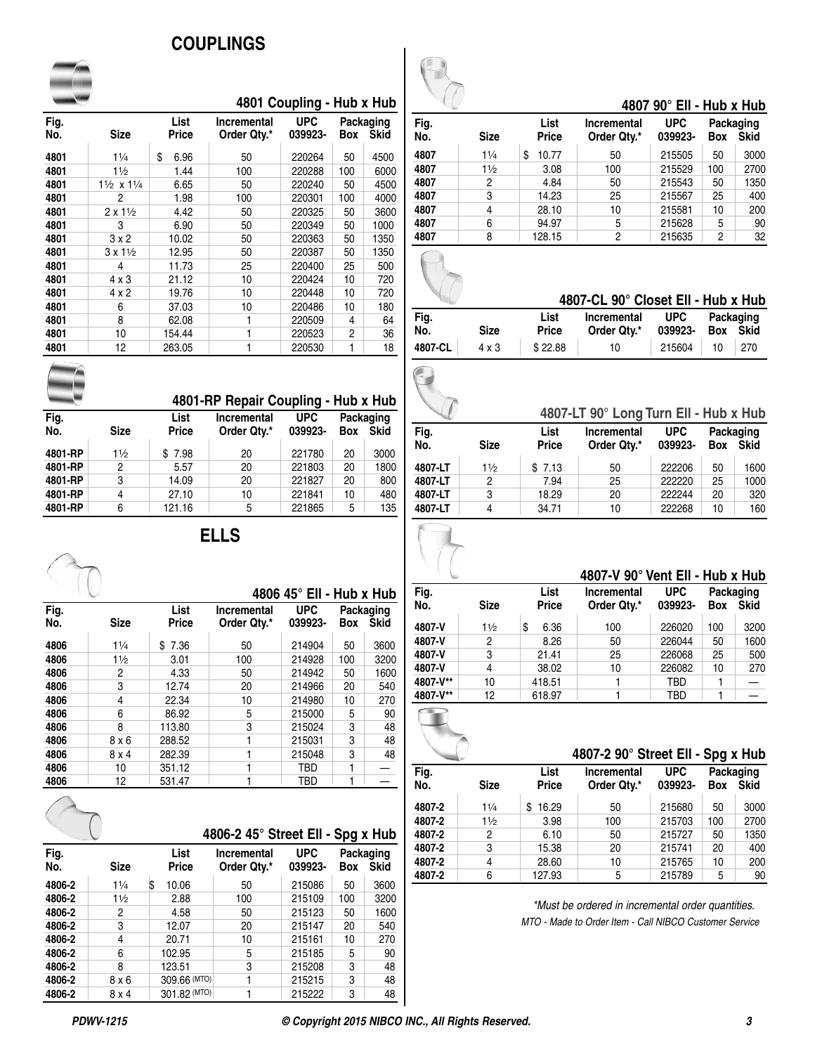## **COUPLINGS**

|             |                                    |               |                            | 4801 Coupling - Hub x Hub |            |                          |
|-------------|------------------------------------|---------------|----------------------------|---------------------------|------------|--------------------------|
| Fig.<br>No. | <b>Size</b>                        | List<br>Price | Incremental<br>Order Qty.* | <b>UPC</b><br>039923-     | <b>Box</b> | Packaging<br><b>Skid</b> |
|             |                                    |               |                            |                           |            |                          |
| 4801        | $1\frac{1}{4}$                     | \$<br>6.96    | 50                         | 220264                    | 50         | 4500                     |
| 4801        | $1\frac{1}{2}$                     | 1.44          | 100                        | 220288                    | 100        | 6000                     |
| 4801        | $1\frac{1}{2} \times 1\frac{1}{4}$ | 6.65          | 50                         | 220240                    | 50         | 4500                     |
| 4801        | 2                                  | 1.98          | 100                        | 220301                    | 100        | 4000                     |
| 4801        | $2 \times 1\frac{1}{2}$            | 4.42          | 50                         | 220325                    | 50         | 3600                     |
| 4801        | 3                                  | 6.90          | 50                         | 220349                    | 50         | 1000                     |
| 4801        | 3x2                                | 10.02         | 50                         | 220363                    | 50         | 1350                     |
| 4801        | $3 \times 1\frac{1}{2}$            | 12.95         | 50                         | 220387                    | 50         | 1350                     |
| 4801        | 4                                  | 11.73         | 25                         | 220400                    | 25         | 500                      |
| 4801        | $4 \times 3$                       | 21.12         | 10                         | 220424                    | 10         | 720                      |
| 4801        | $4 \times 2$                       | 19.76         | 10                         | 220448                    | 10         | 720                      |
| 4801        | 6                                  | 37.03         | 10                         | 220486                    | 10         | 180                      |
| 4801        | 8                                  | 62.08         | 1                          | 220509                    | 4          | 64                       |
| 4801        | 10                                 | 154.44        | 1                          | 220523                    | 2          | 36                       |
| 4801        | 12                                 | 263.05        | 1                          | 220530                    | 1          | 18                       |

|             |                |                      | 4801-RP Repair Coupling - Hub x Hub |                       |            |                          |
|-------------|----------------|----------------------|-------------------------------------|-----------------------|------------|--------------------------|
| Fig.<br>No. | <b>Size</b>    | List<br><b>Price</b> | <b>Incremental</b><br>Order Qtv.*   | <b>UPC</b><br>039923- | <b>Box</b> | Packaging<br><b>Skid</b> |
| 4801-RP     | $1\frac{1}{2}$ | \$7.98               | 20                                  | 221780                | 20         | 3000                     |
| 4801-RP     | 2              | 5.57                 | 20                                  | 221803                | 20         | 1800                     |
| 4801-RP     | 3              | 14.09                | 20                                  | 221827                | 20         | 800                      |
| 4801-RP     | 4              | 27.10                | 10                                  | 221841                | 10         | 480                      |
| 4801-RP     | 6              | 121.16               | 5                                   | 221865                | 5          | 135                      |
|             |                |                      |                                     |                       |            |                          |

## **ELLS**

|             |             |               |                            | 4806 45° Ell - Hub x Hub |            |                          |
|-------------|-------------|---------------|----------------------------|--------------------------|------------|--------------------------|
| Fig.<br>No. | <b>Size</b> | List<br>Price | Incremental<br>Order Qtv.* | <b>UPC</b><br>039923-    | <b>Box</b> | Packaging<br><b>Skid</b> |
| 4806        | 11/4        | \$7.36        | 50                         | 214904                   | 50         | 3600                     |
| 4806        | 11/2        | 3.01          | 100                        | 214928                   | 100        | 3200                     |
| 4806        | 2           | 4.33          | 50                         | 214942                   | 50         | 1600                     |
| 4806        | 3           | 12.74         | 20                         | 214966                   | 20         | 540                      |
| 4806        | 4           | 22.34         | 10                         | 214980                   | 10         | 270                      |
| 4806        | 6           | 86.92         | 5                          | 215000                   | 5          | 90                       |
| 4806        | 8           | 113.80        | 3                          | 215024                   | 3          | 48                       |
| 4806        | 8x6         | 288.52        |                            | 215031                   | 3          | 48                       |
| 4806        | 8x4         | 282.39        | 1                          | 215048                   | 3          | 48                       |
| 4806        | 10          | 351.12        | 1                          | TBD                      | 1          |                          |
| 4806        | 12          | 531.47        |                            | TBD                      |            |                          |

|             |                |               | 4806-2 45° Street Ell - Spg x Hub |                       |     |                          |
|-------------|----------------|---------------|-----------------------------------|-----------------------|-----|--------------------------|
| Fig.<br>No. | <b>Size</b>    | List<br>Price | Incremental<br>Order Qty.*        | <b>UPC</b><br>039923- | Box | Packaging<br><b>Skid</b> |
| 4806-2      | 11/4           | S<br>10.06    | 50                                | 215086                | 50  | 3600                     |
| 4806-2      | $1\frac{1}{2}$ | 2.88          | 100                               | 215109                | 100 | 3200                     |
| 4806-2      | 2              | 4.58          | 50                                | 215123                | 50  | 1600                     |
| 4806-2      | 3              | 12.07         | 20                                | 215147                | 20  | 540                      |
| 4806-2      | 4              | 20.71         | 10                                | 215161                | 10  | 270                      |
| 4806-2      | 6              | 102.95        | 5                                 | 215185                | 5   | 90                       |
| 4806-2      | 8              | 123.51        | 3                                 | 215208                | 3   | 48                       |
| 4806-2      | 8x6            | 309.66 (MTO)  |                                   | 215215                | 3   | 48                       |
| 4806-2      | 8 x 4          | 301.82 (MTO)  |                                   | 215222                | 3   | 48                       |



#### **4807 90° Ell - Hub x Hub**

| Fig.<br>No. | <b>Size</b>    | List<br><b>Price</b> | <b>Incremental</b><br>Order Qtv.* | <b>UPC</b><br>039923- | <b>Box</b> | Packaging<br><b>Skid</b> |
|-------------|----------------|----------------------|-----------------------------------|-----------------------|------------|--------------------------|
| 4807        | $1\frac{1}{4}$ | \$<br>10.77          | 50                                | 215505                | 50         | 3000                     |
| 4807        | $1\frac{1}{2}$ | 3.08                 | 100                               | 215529                | 100        | 2700                     |
| 4807        | 2              | 4.84                 | 50                                | 215543                | 50         | 1350                     |
| 4807        | 3              | 14.23                | 25                                | 215567                | 25         | 400                      |
| 4807        | 4              | 28.10                | 10                                | 215581                | 10         | 200                      |
| 4807        | 6              | 94.97                | 5                                 | 215628                | 5          | 90                       |
| 4807        | 8              | 128.15               | 2                                 | 215635                | 2          | 32                       |

#### **4807-CL 90° Closet Ell - Hub x Hub**

| Fig.    |             | List         | Incremental | <b>UPC</b> |          | Packaging |
|---------|-------------|--------------|-------------|------------|----------|-----------|
| No.     | <b>Size</b> | <b>Price</b> | Order Qtv.* | 039923-    | Box Skid |           |
| 4807-CL | 4 x 3       | \$22.88      | 10          | 215604     | 10       | 270       |

### **4807-LT 90° Long Turn Ell - Hub x Hub**

| Fig.    |             | List         | Incremental | <b>UPC</b> |            | Packaging   |
|---------|-------------|--------------|-------------|------------|------------|-------------|
| No.     | <b>Size</b> | <b>Price</b> | Order Qty.* | 039923-    | <b>Box</b> | <b>Skid</b> |
| 4807-LT | 11/2        | \$7.13       | 50          | 222206     | 50         | 1600        |
| 4807-LT | 2           | 7.94         | 25          | 222220     | 25         | 1000        |
| 4807-LT | 3           | 18.29        | 20          | 222244     | 20         | 320         |
| 4807-LT | 4           | 34.71        | 10          | 222268     | 10         | 160         |



|             |             | 4807-V 90° Vent Ell - Hub x Hub |                                   |                       |            |                          |
|-------------|-------------|---------------------------------|-----------------------------------|-----------------------|------------|--------------------------|
| Fig.<br>No. | <b>Size</b> | List<br><b>Price</b>            | <b>Incremental</b><br>Order Qty.* | <b>UPC</b><br>039923- | <b>Box</b> | Packaging<br><b>Skid</b> |
| 4807-V      | 11/2        | \$<br>6.36                      | 100                               | 226020                | 100        | 3200                     |
| 4807-V      | 2           | 8.26                            | 50                                | 226044                | 50         | 1600                     |
| 4807-V      | 3           | 21.41                           | 25                                | 226068                | 25         | 500                      |
| 4807-V      | 4           | 38.02                           | 10                                | 226082                | 10         | 270                      |
| 4807-V**    | 10          | 418.51                          |                                   | TBD                   |            |                          |
| 4807-V**    | 12          | 618.97                          |                                   | TBD                   |            |                          |

| 4807-2 90° Street Ell - Spg x Hub |             |                      |                            |                       |            |                          |
|-----------------------------------|-------------|----------------------|----------------------------|-----------------------|------------|--------------------------|
| Fig.<br>No.                       | <b>Size</b> | List<br><b>Price</b> | Incremental<br>Order Qty.* | <b>UPC</b><br>039923- | <b>Box</b> | Packaging<br><b>Skid</b> |
| 4807-2                            | 11/4        | 16.29<br>\$.         | 50                         | 215680                | 50         | 3000                     |
| 4807-2                            | 11/2        | 3.98                 | 100                        | 215703                | 100        | 2700                     |
| 4807-2                            | 2           | 6.10                 | 50                         | 215727                | 50         | 1350                     |
| 4807-2                            | 3           | 15.38                | 20                         | 215741                | 20         | 400                      |
| 4807-2                            | 4           | 28.60                | 10                         | 215765                | 10         | 200                      |
| 4807-2                            | 6           | 127.93               | 5                          | 215789                | 5          | 90                       |

*\*Must be ordered in incremental order quantities. MTO - Made to Order Item - Call NIBCO Customer Service*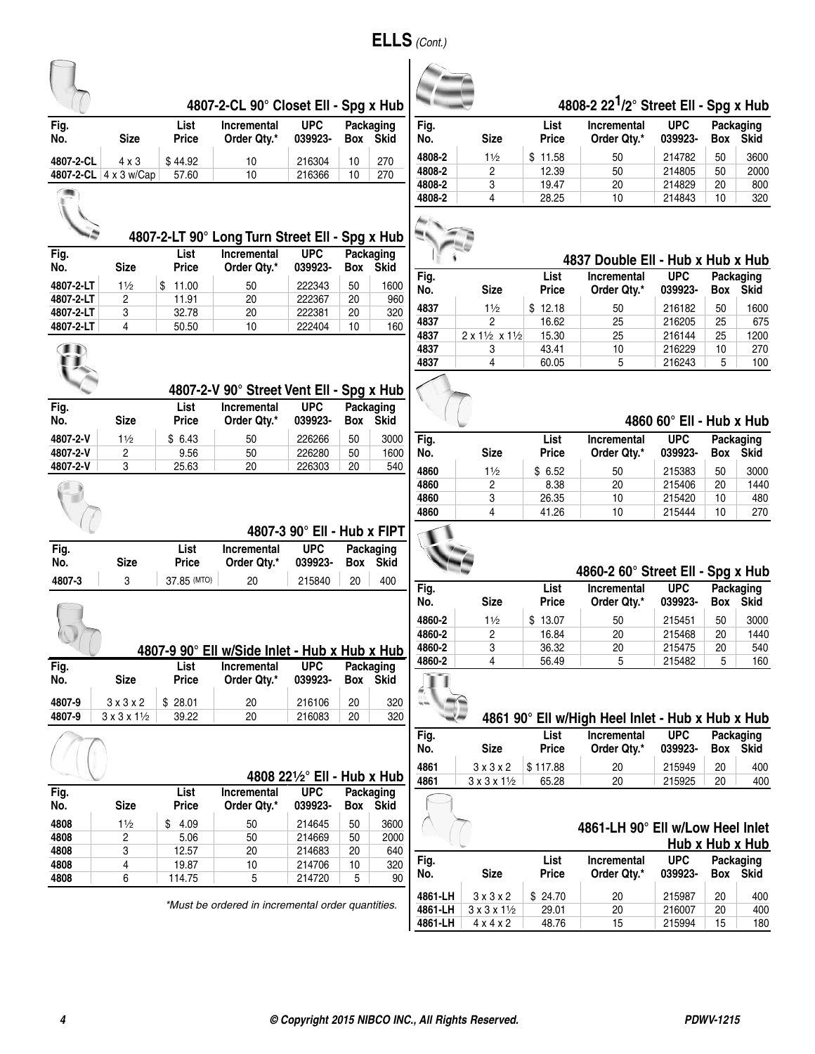|                |                                  |                      | 4807-2-CL 90° Closet Ell - Spg x Hub              |                             |        |                          |             |                                  |                      | 4808-2 22 <sup>1</sup> /2° Street Ell - Spg x Hub |                          |            |                          |
|----------------|----------------------------------|----------------------|---------------------------------------------------|-----------------------------|--------|--------------------------|-------------|----------------------------------|----------------------|---------------------------------------------------|--------------------------|------------|--------------------------|
| Fig.<br>No.    | <b>Size</b>                      | List<br><b>Price</b> | <b>Incremental</b><br>Order Qty.*                 | <b>UPC</b><br>039923-       |        | Packaging<br>Box Skid    | Fig.<br>No. | <b>Size</b>                      | List<br><b>Price</b> | <b>Incremental</b><br>Order Qty.*                 | <b>UPC</b><br>039923-    | Box        | Packaging<br><b>Skid</b> |
| 4807-2-CL      | $4 \times 3$                     | \$44.92              | 10                                                | 216304                      | 10     | 270                      | 4808-2      | $1\frac{1}{2}$                   | \$11.58              | 50                                                | 214782                   | 50         | 3600                     |
|                | 4807-2-CL 4 x 3 w/Cap            | 57.60                | 10                                                | 216366                      | 10     | 270                      | 4808-2      | 2                                | 12.39                | 50                                                | 214805                   | 50         | 2000                     |
|                |                                  |                      |                                                   |                             |        |                          | 4808-2      | 3                                | 19.47                | 20                                                | 214829                   | 20         | 800                      |
|                |                                  |                      |                                                   |                             |        |                          | 4808-2      | 4                                | 28.25                | 10                                                | 214843                   | 10         | 320                      |
|                |                                  |                      | 4807-2-LT 90° Long Turn Street Ell - Spg x Hub    |                             |        |                          |             |                                  |                      |                                                   |                          |            |                          |
| Fig.           |                                  | <b>List</b>          | <b>Incremental</b>                                | <b>UPC</b>                  |        | Packaging                |             |                                  |                      | 4837 Double Ell - Hub x Hub x Hub                 |                          |            |                          |
| No.            | <b>Size</b>                      | <b>Price</b>         | Order Qty.*                                       | 039923-                     |        | Box Skid                 |             |                                  | List                 | <b>Incremental</b>                                | <b>UPC</b>               |            |                          |
| 4807-2-LT      | 11/2                             | \$11.00              | 50                                                | 222343                      | 50     | 1600                     | Fig.<br>No. | <b>Size</b>                      | <b>Price</b>         | Order Qty.*                                       | 039923-                  | Box        | Packaging<br><b>Skid</b> |
| 4807-2-LT      | $\overline{c}$                   | 11.91                | 20                                                | 222367                      | 20     | 960                      | 4837        | $1\frac{1}{2}$                   | \$12.18              | 50                                                | 216182                   | 50         | 1600                     |
| 4807-2-LT      | 3                                | 32.78                | 20                                                | 222381                      | 20     | 320                      | 4837        | $\overline{2}$                   | 16.62                | 25                                                | 216205                   | 25         | 675                      |
| 4807-2-LT      | 4                                | 50.50                | 10                                                | 222404                      | 10     | 160                      | 4837        |                                  | 15.30                | 25                                                | 216144                   | 25         |                          |
|                |                                  |                      |                                                   |                             |        |                          |             | 2 x 11/2 x 11/2                  |                      |                                                   |                          |            | 1200                     |
| $\blacksquare$ |                                  |                      |                                                   |                             |        |                          | 4837        | 3                                | 43.41                | 10                                                | 216229                   | 10         | 270                      |
|                |                                  |                      |                                                   |                             |        |                          | 4837        | 4                                | 60.05                | 5                                                 | 216243                   | 5          | 100                      |
|                |                                  |                      | 4807-2-V 90° Street Vent Ell - Spg x Hub          |                             |        |                          |             |                                  |                      |                                                   |                          |            |                          |
| Fig.<br>No.    | <b>Size</b>                      | List<br>Price        | <b>Incremental</b><br>Order Qty.*                 | <b>UPC</b><br>039923-       | Box    | Packaging<br><b>Skid</b> |             |                                  |                      |                                                   | 4860 60° Ell - Hub x Hub |            |                          |
| 4807-2-V       | 11/2                             | \$6.43               | 50                                                | 226266                      | 50     | 3000                     | Fig.        |                                  | List                 | <b>Incremental</b>                                | <b>UPC</b>               |            |                          |
|                |                                  |                      |                                                   |                             |        |                          | No.         | <b>Size</b>                      | <b>Price</b>         | Order Qty.*                                       | 039923-                  | Box        | Packaging<br><b>Skid</b> |
| 4807-2-V       | 2                                | 9.56                 | 50                                                | 226280                      | 50     | 1600                     |             |                                  |                      |                                                   |                          |            |                          |
| 4807-2-V       | 3                                | 25.63                | 20                                                | 226303                      | 20     | 540                      | 4860        | 11/2                             | \$6.52               | 50                                                | 215383                   | 50         | 3000                     |
|                |                                  |                      |                                                   |                             |        |                          | 4860        | 2                                | 8.38                 | 20                                                | 215406                   | 20         | 1440                     |
|                |                                  |                      |                                                   |                             |        |                          | 4860        | 3                                | 26.35                | 10                                                | 215420                   | 10         | 480                      |
|                |                                  |                      |                                                   |                             |        |                          | 4860        | 4                                | 41.26                | 10                                                | 215444                   | 10         | 270                      |
|                |                                  |                      |                                                   | 4807-3 90° Ell - Hub x FIPT |        |                          |             |                                  |                      |                                                   |                          |            |                          |
| Fig.           |                                  | <b>List</b>          | Incremental                                       | <b>UPC</b>                  |        | Packaging                |             |                                  |                      |                                                   |                          |            |                          |
| No.            | <b>Size</b>                      | <b>Price</b>         | Order Qty.*                                       | 039923-                     |        | Box Skid                 |             |                                  |                      |                                                   |                          |            |                          |
|                |                                  |                      |                                                   |                             |        |                          |             |                                  |                      | 4860-2 60° Street Ell - Spg x Hub                 |                          |            |                          |
| 4807-3         | 3                                | 37.85 (MTO)          | 20                                                | 215840                      | 20     | 400                      | Fig.<br>No. | <b>Size</b>                      | List<br><b>Price</b> | Incremental<br>Order Qty.*                        | <b>UPC</b><br>039923-    | <b>Box</b> | Packaging<br><b>Skid</b> |
|                |                                  |                      |                                                   |                             |        |                          |             |                                  |                      |                                                   |                          |            |                          |
|                |                                  |                      |                                                   |                             |        |                          | 4860-2      | 11/2                             | \$13.07              | 50                                                | 215451                   | 50         | 3000                     |
|                |                                  |                      |                                                   |                             |        |                          | 4860-2      | 2                                | 16.84                | 20                                                | 215468                   | 20         | 1440                     |
|                |                                  |                      | 4807-9 90° Ell w/Side Inlet - Hub x Hub x Hub     |                             |        |                          | 4860-2      | 3                                | 36.32                | 20                                                | 215475                   | 20         | 540                      |
| Fig.           |                                  | List                 | <b>Incremental</b>                                | <b>UPC</b>                  |        | Packaging                | 4860-2      | 4                                | 56.49                | 5                                                 | 215482                   | 5          | 160                      |
| No.            | <b>Size</b>                      | <b>Price</b>         | Order Qty.*                                       | 039923-                     |        | Box Skid                 |             |                                  |                      |                                                   |                          |            |                          |
| 4807-9         | $3 \times 3 \times 2$            | \$28.01              | 20                                                | 216106                      | $20\,$ | 320                      |             |                                  |                      |                                                   |                          |            |                          |
| 4807-9         | $3 \times 3 \times 1\frac{1}{2}$ | 39.22                | 20                                                | 216083                      | 20     | 320                      |             |                                  |                      | 4861 90° Ell w/High Heel Inlet - Hub x Hub x Hub  |                          |            |                          |
|                |                                  |                      |                                                   |                             |        |                          | Fig.        |                                  | List                 | Incremental                                       | <b>UPC</b>               |            | Packaging                |
|                |                                  |                      |                                                   |                             |        |                          | No.         | <b>Size</b>                      | <b>Price</b>         | Order Qty.*                                       | 039923-                  |            | Box Skid                 |
|                |                                  |                      |                                                   |                             |        |                          | 4861        | 3x3x2                            | \$117.88             | 20                                                | 215949                   | 20         | 400                      |
|                |                                  |                      |                                                   | 4808 221/2° Ell - Hub x Hub |        |                          | 4861        | $3 \times 3 \times 1\frac{1}{2}$ | 65.28                | 20                                                | 215925                   | 20         | 400                      |
| Fig.           |                                  | List                 | Incremental                                       | <b>UPC</b>                  |        | Packaging                |             |                                  |                      |                                                   |                          |            |                          |
| No.            | <b>Size</b>                      | <b>Price</b>         | Order Qty.*                                       | 039923-                     |        | Box Skid                 |             |                                  |                      |                                                   |                          |            |                          |
| 4808           | 11/2                             | \$4.09               | 50                                                | 214645                      | 50     | 3600                     |             |                                  |                      |                                                   |                          |            |                          |
| 4808           | 2                                | 5.06                 | 50                                                | 214669                      | 50     | 2000                     |             |                                  |                      | 4861-LH 90° Ell w/Low Heel Inlet                  |                          |            |                          |
| 4808           | 3                                | 12.57                | 20                                                | 214683                      | 20     | 640                      |             |                                  |                      |                                                   |                          |            | Hub x Hub x Hub          |
| 4808           | 4                                | 19.87                | 10                                                | 214706                      | 10     | 320                      | Fig.        |                                  | List                 | Incremental                                       | <b>UPC</b>               |            | Packaging                |
|                |                                  |                      |                                                   |                             |        |                          | No.         | <b>Size</b>                      | <b>Price</b>         | Order Qty.*                                       | 039923-                  |            | Box Skid                 |
| 4808           | 6                                | 114.75               | 5                                                 | 214720                      | 5      | 90                       |             |                                  |                      |                                                   |                          |            |                          |
|                |                                  |                      |                                                   |                             |        |                          | 4861-LH     | $3 \times 3 \times 2$            | \$24.70              | 20                                                | 215987                   | 20         | 400                      |
|                |                                  |                      | *Must be ordered in incremental order quantities. |                             |        |                          | 4861-LH     | $3 \times 3 \times 1\frac{1}{2}$ | 29.01                | 20                                                | 216007                   | 20         | 400                      |
|                |                                  |                      |                                                   |                             |        |                          | 4861-LH     | $4 \times 4 \times 2$            | 48.76                | 15                                                | 215994                   | 15         | 180                      |

**ELLS** *(Cont.)*

 $\sim$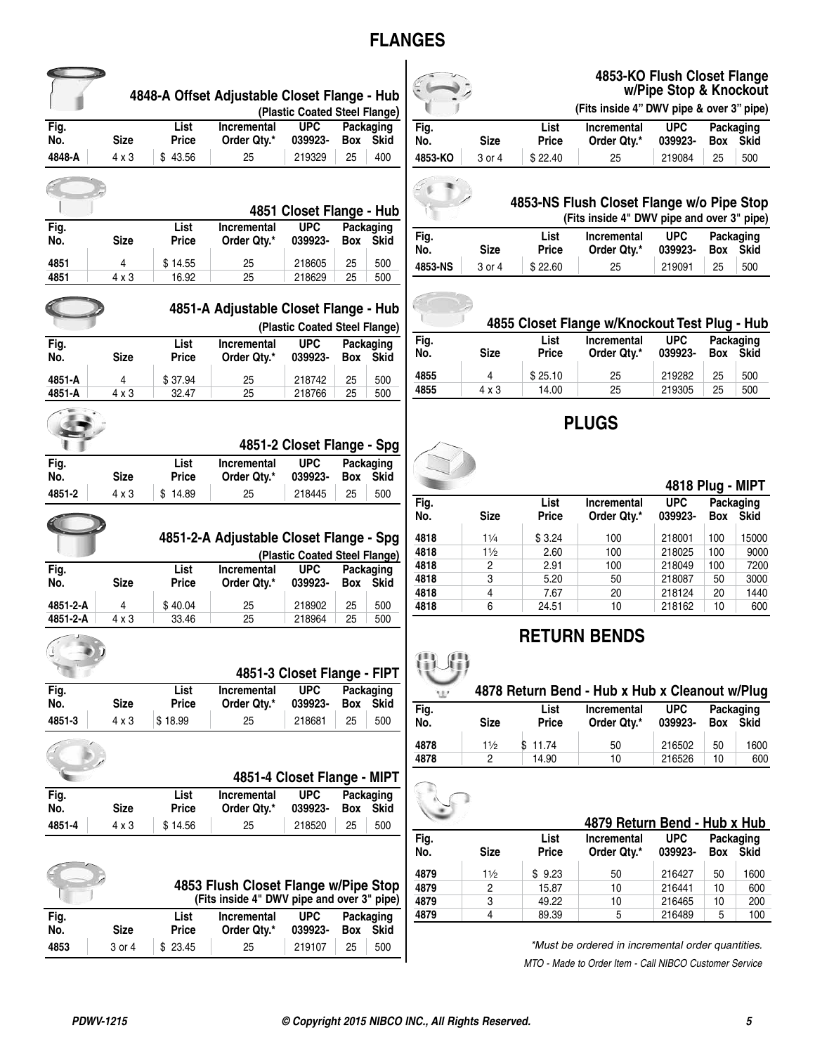## **FLANGES**

|                      |                      |                         | 4848-A Offset Adjustable Closet Flange - Hub | (Plastic Coated Steel Flange)             |          |                          |              |                |                      | 4853-KO Flush Closet Flange<br>(Fits inside 4" DWV pipe & over 3" pipe)                 | w/Pipe Stop & Knockout  |            |                          |
|----------------------|----------------------|-------------------------|----------------------------------------------|-------------------------------------------|----------|--------------------------|--------------|----------------|----------------------|-----------------------------------------------------------------------------------------|-------------------------|------------|--------------------------|
| Fig.                 |                      | List                    | <b>Incremental</b>                           | <b>UPC</b>                                |          | Packaging                | Fig.         |                | List                 | <b>Incremental</b>                                                                      | <b>UPC</b>              |            | <b>Packaging</b>         |
| No.                  | <b>Size</b>          | <b>Price</b>            | Order Qty.*                                  | 039923-                                   |          | Box Skid                 | No.          | <b>Size</b>    | <b>Price</b>         | Order Qty.*                                                                             | 039923-                 | Box        | Skid                     |
| 4848-A               | $4 \times 3$         | \$43.56                 | 25                                           | 219329                                    | 25       | 400                      | 4853-KO      | 3 or 4         | \$22.40              | 25                                                                                      | 219084                  | 25         | 500                      |
|                      |                      |                         |                                              | 4851 Closet Flange - Hub                  |          |                          |              |                |                      | 4853-NS Flush Closet Flange w/o Pipe Stop<br>(Fits inside 4" DWV pipe and over 3" pipe) |                         |            |                          |
| Fig.<br>No.          | <b>Size</b>          | List<br>Price           | <b>Incremental</b><br>Order Qty.*            | <b>UPC</b><br>039923-                     |          | Packaging<br>Box Skid    | Fig.<br>No.  | <b>Size</b>    | List<br><b>Price</b> | <b>Incremental</b><br>Order Qty.*                                                       | <b>UPC</b><br>039923-   | Box        | Packaging<br><b>Skid</b> |
| 4851<br>4851         | 4<br>$4 \times 3$    | \$14.55<br>16.92        | 25<br>25                                     | 218605<br>218629                          | 25<br>25 | 500<br>500               | 4853-NS      | 3 or 4         | \$22.60              | 25                                                                                      | 219091                  | 25         | 500                      |
|                      |                      |                         | 4851-A Adjustable Closet Flange - Hub        | (Plastic Coated Steel Flange)             |          |                          |              |                |                      | 4855 Closet Flange w/Knockout Test Plug - Hub                                           |                         |            |                          |
| Fig.<br>No.          | <b>Size</b>          | List<br><b>Price</b>    | Incremental<br>Order Qty.*                   | <b>UPC</b><br>039923-                     |          | Packaging<br>Box Skid    | Fig.<br>No.  | <b>Size</b>    | List<br><b>Price</b> | Incremental<br>Order Qty.*                                                              | <b>UPC</b><br>039923-   | Box        | Packaging<br><b>Skid</b> |
| 4851-A               | 4                    | \$37.94                 | 25                                           | 218742                                    | 25       | 500                      | 4855         | 4              | \$25.10              | 25                                                                                      | 219282                  | 25         | 500                      |
| 4851-A               | $4 \times 3$         | 32.47                   | 25                                           | 218766                                    | 25       | 500                      | 4855         | $4 \times 3$   | 14.00                | 25                                                                                      | 219305                  | 25         | 500                      |
| Fig.                 |                      | List                    | <b>Incremental</b>                           | 4851-2 Closet Flange - Spg<br><b>UPC</b>  |          | Packaging                |              |                |                      | <b>PLUGS</b>                                                                            |                         |            |                          |
| No.                  | <b>Size</b>          | <b>Price</b>            | Order Qty.*                                  | 039923-                                   |          | Box Skid                 |              |                |                      |                                                                                         | <b>4818 Plug - MIPT</b> |            |                          |
| 4851-2               | $4 \times 3$         | \$14.89                 | 25                                           | 218445                                    | 25       | 500                      | Fig.         |                | List                 | Incremental                                                                             | <b>UPC</b>              |            | <b>Packaging</b>         |
|                      |                      |                         |                                              |                                           |          |                          | No.          | <b>Size</b>    | <b>Price</b>         | Order Qty.*                                                                             | 039923-                 | Box        | Skid                     |
|                      |                      |                         | 4851-2-A Adjustable Closet Flange - Spg      |                                           |          |                          | 4818         | $1\frac{1}{4}$ | \$3.24               | 100                                                                                     | 218001                  | 100        | 15000                    |
|                      |                      |                         |                                              | (Plastic Coated Steel Flange)             |          |                          | 4818<br>4818 | 11/2<br>2      | 2.60<br>2.91         | 100<br>100                                                                              | 218025<br>218049        | 100<br>100 | 9000<br>7200             |
| Fig.<br>No.          | <b>Size</b>          | List<br><b>Price</b>    | <b>Incremental</b><br>Order Qtv.*            | <b>UPC</b><br>039923-                     |          | Packaging<br>Box Skid    | 4818         | 3              | 5.20                 | 50                                                                                      | 218087                  | 50         | 3000                     |
|                      |                      |                         |                                              |                                           |          |                          | 4818         | 4              | 7.67                 | 20                                                                                      | 218124                  | 20         | 1440                     |
| 4851-2-A<br>4851-2-A | 4<br>4 x 3           | \$40.04<br>33.46        | 25<br>25                                     | 218902<br>218964                          | 25<br>25 | 500<br>500               | 4818         | 6              | 24.51                | 10                                                                                      | 218162                  | 10         | 600                      |
| Fig.                 |                      | List                    | <b>Incremental</b>                           | 4851-3 Closet Flange - FIPT<br><b>UPC</b> |          | Packaging                |              |                |                      | <b>RETURN BENDS</b><br>4878 Return Bend - Hub x Hub x Cleanout w/Plug                   |                         |            |                          |
| No.<br>4851-3        | <b>Size</b><br>4 x 3 | <b>Price</b><br>\$18.99 | Order Qty.*<br>25                            | 039923-<br>218681                         | 25       | Box Skid<br>500          | Fig.         |                | List                 | Incremental                                                                             | UPC                     |            | Packaging                |
|                      |                      |                         |                                              |                                           |          |                          | No.          | <b>Size</b>    | <b>Price</b>         | Order Qty.*                                                                             | 039923-                 |            | Box Skid                 |
|                      |                      |                         |                                              |                                           |          |                          | 4878<br>4878 | 11/2<br>2      | \$11.74<br>14.90     | 50<br>10                                                                                | 216502<br>216526        | 50<br>10   | 1600<br>600              |
|                      |                      |                         | 4851-4 Closet Flange - MIPT                  |                                           |          |                          |              |                |                      |                                                                                         |                         |            |                          |
| Fig.<br>No.          | <b>Size</b>          | List<br>Price           | <b>Incremental</b><br>Order Qty.*            | <b>UPC</b><br>039923-                     | Box      | Packaging<br><b>Skid</b> |              |                |                      |                                                                                         |                         |            |                          |
| 4851-4               | 4 x 3                | \$14.56                 | 25                                           | 218520                                    | 25       | 500                      |              |                | List                 | 4879 Return Bend - Hub x Hub                                                            | <b>UPC</b>              |            |                          |
|                      |                      |                         |                                              |                                           |          |                          | Fig.<br>No.  | <b>Size</b>    | <b>Price</b>         | <b>Incremental</b><br>Order Qty.*                                                       | 039923-                 | Box        | Packaging<br><b>Skid</b> |
|                      |                      |                         |                                              |                                           |          |                          | 4879         | 11/2           | \$9.23               | 50                                                                                      | 216427                  | 50         | 1600                     |
|                      |                      |                         | 4853 Flush Closet Flange w/Pipe Stop         |                                           |          |                          | 4879         | 2              | 15.87                | 10                                                                                      | 216441                  | 10         | 600                      |
|                      |                      |                         | (Fits inside 4" DWV pipe and over 3" pipe)   |                                           |          |                          | 4879         | 3              | 49.22                | 10                                                                                      | 216465                  | 10         | 200                      |
| Fig.                 |                      | List                    | <b>Incremental</b>                           | <b>UPC</b>                                |          | Packaging                | 4879         | 4              | 89.39                | 5                                                                                       | 216489                  | 5          | 100                      |
| No.                  | <b>Size</b>          | Price                   | Order Qty.*                                  | 039923-                                   |          | Box Skid                 |              |                |                      |                                                                                         |                         |            |                          |
| 4853                 | 3 or 4               | \$23.45                 | 25                                           | 219107                                    | 25       | 500                      |              |                |                      | *Must be ordered in incremental order quantities.                                       |                         |            |                          |

|    |        |                      | <br>(Fits inside           |
|----|--------|----------------------|----------------------------|
|    | Size   | List<br><b>Price</b> | <b>Incremer</b><br>Order Q |
| ۵ï | 3 or 4 | \$22.40              | 25                         |
|    |        |                      |                            |

#### **4853-KO Flush Closet Flange w/Pipe Stop & Knockout**

|             |             | (Fits inside 4" DWV pipe & over 3" pipe) |                            |                       |            |                   |  |  |
|-------------|-------------|------------------------------------------|----------------------------|-----------------------|------------|-------------------|--|--|
| Fig.<br>No. | <b>Size</b> | List<br><b>Price</b>                     | Incremental<br>Order Qtv.* | <b>UPC</b><br>039923- | <b>Box</b> | Packaging<br>Skid |  |  |
| 4853-KO     | 3 or 4      | \$22.40                                  | 25                         | 219084                | 25         | 500               |  |  |
|             |             |                                          |                            |                       |            |                   |  |  |



|      |      | (Fits inside 4" DWV pipe and over 3" pipe) |            |           |
|------|------|--------------------------------------------|------------|-----------|
| Fig. | List | Incremental                                | <b>UPC</b> | Packaging |

| - - -<br>No. | Size   | <b>Price</b> | Order Qtv.* | 039923- Box Skid |    |     |  |
|--------------|--------|--------------|-------------|------------------|----|-----|--|
| 4853-NS      | 3 or 4 | \$22.60      | 25          | 219091           | 25 | 500 |  |



## **4855 Closet Flange w/Knockout Test Plug - Hub**

| Fig. |             | List    | <b>Incremental</b> | <b>UPC</b> | Packaging  |             |
|------|-------------|---------|--------------------|------------|------------|-------------|
| No.  | <b>Size</b> | Price   | Order Qtv.*        | 039923-    | <b>Box</b> | <b>Skid</b> |
| 4855 | Δ           | \$25.10 | 25                 | 219282     | 25         | 500         |
| 4855 | 4 x 3       | 14.00   | 25                 | 219305     | 25         | 500         |

## **PLUGS**



#### **4818 Plug - MIPT Fig. List Incremental UPC Packaging No. Size Price Order Qty.\* 039923- Box Skid 4818** 11⁄4 \$ 3.24 100 218001 100 15000 **4818** 11⁄2 2.60 100 218025 100 9000 **4818** 2 2.91 100 218049 100 7200 **4818** 3 5.20 50 218087 50 3000

## **RETURN BENDS**

#### **4878 Return Bend - Hub x Hub x Cleanout w/Plug** 18 **Fig. List Incremental UPC Packaging Size Price Order Qty.\* 4878** 11⁄2 \$ 11.74 50 216502 50 1600 **4878** 2 14.90 10 216526 10 600

|             |      |               | 4879 Return Bend - Hub x Hub      |                       |     |                          |
|-------------|------|---------------|-----------------------------------|-----------------------|-----|--------------------------|
| Fig.<br>No. | Size | List<br>Price | <b>Incremental</b><br>Order Qty.* | <b>UPC</b><br>039923- | Box | Packaging<br><b>Skid</b> |
|             |      |               |                                   |                       |     |                          |
| 4879        | 11/2 | \$9.23        | 50                                | 216427                | 50  | 1600                     |
| 4879        | 2    | 15.87         | 10                                | 216441                | 10  | 600                      |
| 4879        | 3    | 49.22         | 10                                | 216465                | 10  | 200                      |
| 4879        | 4    | 89.39         | 5                                 | 216489                | 5   | 100                      |

*\*Must be ordered in incremental order quantities. MTO - Made to Order Item - Call NIBCO Customer Service*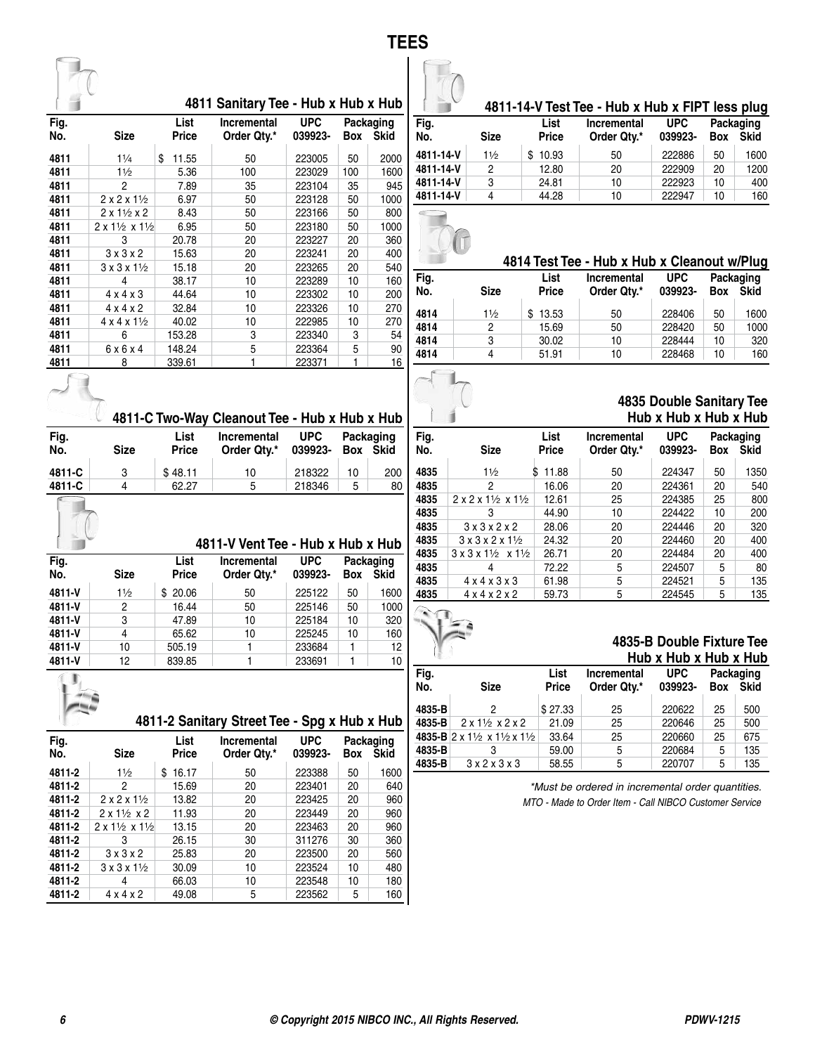|  | v. |
|--|----|
|  |    |



| Fig. |                                             | List         | Incremental | <b>UPC</b> |     | Packaging   |
|------|---------------------------------------------|--------------|-------------|------------|-----|-------------|
| No.  | <b>Size</b>                                 | <b>Price</b> | Order Qtv.* | 039923-    | Box | <b>Skid</b> |
|      |                                             |              |             |            |     |             |
| 4811 | 11/4                                        | \$<br>11.55  | 50          | 223005     | 50  | 2000        |
| 4811 | $1\frac{1}{2}$                              | 5.36         | 100         | 223029     | 100 | 1600        |
| 4811 | 2                                           | 7.89         | 35          | 223104     | 35  | 945         |
| 4811 | $2 \times 2 \times 1\frac{1}{2}$            | 6.97         | 50          | 223128     | 50  | 1000        |
| 4811 | $2 \times 1\frac{1}{2} \times 2$            | 8.43         | 50          | 223166     | 50  | 800         |
| 4811 | $2 \times 1\frac{1}{2} \times 1\frac{1}{2}$ | 6.95         | 50          | 223180     | 50  | 1000        |
| 4811 | 3                                           | 20.78        | 20          | 223227     | 20  | 360         |
| 4811 | 3x3x2                                       | 15.63        | 20          | 223241     | 20  | 400         |
| 4811 | $3 \times 3 \times 1\frac{1}{2}$            | 15.18        | 20          | 223265     | 20  | 540         |
| 4811 | 4                                           | 38.17        | 10          | 223289     | 10  | 160         |
| 4811 | $4 \times 4 \times 3$                       | 44.64        | 10          | 223302     | 10  | 200         |
| 4811 | $4 \times 4 \times 2$                       | 32.84        | 10          | 223326     | 10  | 270         |
| 4811 | $4 \times 4 \times 1\frac{1}{2}$            | 40.02        | 10          | 222985     | 10  | 270         |
| 4811 | 6                                           | 153.28       | 3           | 223340     | 3   | 54          |
| 4811 | 6x6x4                                       | 148.24       | 5           | 223364     | 5   | 90          |
| 4811 | 8                                           | 339.61       | 1           | 223371     |     | <u>16</u>   |

|             |                | 4811-14-V Test Tee - Hub x Hub x FIPT less plug |                                   |                       |            |                          |  |  |  |  |  |
|-------------|----------------|-------------------------------------------------|-----------------------------------|-----------------------|------------|--------------------------|--|--|--|--|--|
| Fig.<br>No. | Size           | List<br><b>Price</b>                            | <b>Incremental</b><br>Order Qty.* | <b>UPC</b><br>039923- | <b>Box</b> | Packaging<br><b>Skid</b> |  |  |  |  |  |
| 4811-14-V   | $1\frac{1}{2}$ | 10.93                                           | 50                                | 222886                | 50         | 1600                     |  |  |  |  |  |
| 4811-14-V   | 2              | 12.80                                           | 20                                | 222909                | 20         | 1200                     |  |  |  |  |  |
| 4811-14-V   | 3              | 24.81                                           | 10                                | 222923                | 10         | 400                      |  |  |  |  |  |
| 4811-14-V   |                | 44.28                                           | 10                                | 222947                | 10         | 160                      |  |  |  |  |  |

| <b>4814 Tes</b> | Fig.<br>No | <b>Cian</b> | Dri. |
|-----------------|------------|-------------|------|
|                 |            |             | Lis  |
|                 |            |             |      |
|                 |            |             |      |

|             |             | 4814 Test Tee - Hub x Hub x Cleanout w/Plug |                                   |                       |     |                   |  |  |  |  |
|-------------|-------------|---------------------------------------------|-----------------------------------|-----------------------|-----|-------------------|--|--|--|--|
| Fig.<br>No. | <b>Size</b> | List<br><b>Price</b>                        | <b>Incremental</b><br>Order Qtv.* | <b>UPC</b><br>039923- | Box | Packaging<br>Skid |  |  |  |  |
| 4814        | 11/2        | 13.53                                       | 50                                | 228406                | 50  | 1600              |  |  |  |  |
| 4814        | 2           | 15.69                                       | 50                                | 228420                | 50  | 1000              |  |  |  |  |
| 4814        | 3           | 30.02                                       | 10                                | 228444                | 10  | 320               |  |  |  |  |
| 4814        | 4           | 51.91                                       | 10                                | 228468                | 10  | 160               |  |  |  |  |

#### **4835 Double Sanitary Tee Hub x Hub x Hub x Hub**

| Fig. |                                                      | List       | Incremental | <b>UPC</b> |     | Packaging   |
|------|------------------------------------------------------|------------|-------------|------------|-----|-------------|
| No.  | Size                                                 | Price      | Order Qty.* | 039923-    | Box | <b>Skid</b> |
| 4835 | 11/2                                                 | 11.88<br>S | 50          | 224347     | 50  | 1350        |
| 4835 | 2                                                    | 16.06      | 20          | 224361     | 20  | 540         |
| 4835 | $2 \times 2 \times 1\frac{1}{2} \times 1\frac{1}{2}$ | 12.61      | 25          | 224385     | 25  | 800         |
| 4835 | 3                                                    | 44.90      | 10          | 224422     | 10  | 200         |
| 4835 | 3x3x2x2                                              | 28.06      | 20          | 224446     | 20  | 320         |
| 4835 | $3 \times 3 \times 2 \times 1\frac{1}{2}$            | 24.32      | 20          | 224460     | 20  | 400         |
| 4835 | $3 \times 3 \times 1\frac{1}{2} \times 1\frac{1}{2}$ | 26.71      | 20          | 224484     | 20  | 400         |
| 4835 | 4                                                    | 72.22      | 5           | 224507     | 5   | 80          |
| 4835 | $4 \times 4 \times 3 \times 3$                       | 61.98      | 5           | 224521     | 5   | 135         |
| 4835 | 4x4x2x2                                              | 59.73      | 5           | 224545     | 5   | 135         |
|      |                                                      |            |             |            |     |             |

#### **4835-B Double Fixture Tee Hub x Hub x Hub x Hub**

| Fig.<br>No. | <b>Size</b>                                                            | List<br><b>Price</b> | <b>Incremental</b><br>Order Qty.* | <b>UPC</b><br>039923- | Box | Packaging<br>Skid |
|-------------|------------------------------------------------------------------------|----------------------|-----------------------------------|-----------------------|-----|-------------------|
| 4835-B      | 2                                                                      | \$27.33              | 25                                | 220622                | 25  | 500               |
| 4835-B      | $2 \times 1\frac{1}{2} \times 2 \times 2$                              | 21.09                | 25                                | 220646                | 25  | 500               |
|             | 4835-B $2 \times 1\frac{1}{2} \times 1\frac{1}{2} \times 1\frac{1}{2}$ | 33.64                | 25                                | 220660                | 25  | 675               |
| 4835-B      |                                                                        | 59.00                | 5                                 | 220684                | 5   | 135               |
| 4835-B      | 3x2x3x3                                                                | 58.55                | 5                                 | 220707                | 5   | 135               |

*\*Must be ordered in incremental order quantities. MTO - Made to Order Item - Call NIBCO Customer Service*

|       |             |              | 4811-C Two-Way Cleanout Tee - Hub x Hub x Hub |                  |     |  |
|-------|-------------|--------------|-----------------------------------------------|------------------|-----|--|
| Fiq.  |             | List         | Incremental                                   | UPC Packaging    |     |  |
| No.   | <b>Size</b> | <b>Price</b> | Order Qtv.*                                   | 039923- Box Skid |     |  |
| 0.110 |             | $0.10 - 14$  |                                               | 010000           | 000 |  |

| гіч.   |             | பல           | <b>IIIUI EIIIEIII</b> AI | urv     | <b>Faunaulilu</b> |          |
|--------|-------------|--------------|--------------------------|---------|-------------------|----------|
| No.    | <b>Size</b> | <b>Price</b> | Order Qtv.*              | 039923- |                   | Box Skid |
| 4811-C | 3           | \$48.11      | 10                       | 218322  | 10                | 200      |
| 4811-C | Δ           | 62.27        | 5                        | 218346  | 5                 | 80       |
|        |             |              |                          |         |                   |          |

|             |                | 4811-V Vent Tee - Hub x Hub x Hub |                                   |                       |     |                          |
|-------------|----------------|-----------------------------------|-----------------------------------|-----------------------|-----|--------------------------|
| Fig.<br>No. | <b>Size</b>    | List<br><b>Price</b>              | <b>Incremental</b><br>Order Qtv.* | <b>UPC</b><br>039923- | Box | Packaging<br><b>Skid</b> |
| 4811-V      | $1\frac{1}{2}$ | 20.06<br>S                        | 50                                | 225122                | 50  | 1600                     |
| 4811-V      | 2              | 16.44                             | 50                                | 225146                | 50  | 1000                     |
| 4811-V      | 3              | 47.89                             | 10                                | 225184                | 10  | 320                      |
| 4811-V      | 4              | 65.62                             | 10                                | 225245                | 10  | 160                      |
| 4811-V      | 10             | 505.19                            |                                   | 233684                |     | 12                       |
| 4811-V      | 12             | 839.85                            |                                   | 233691                |     | 10                       |

| ÷ |  |  |
|---|--|--|
|   |  |  |
|   |  |  |
|   |  |  |

|        |             |              | 4811-2 Sanitary Street Tee - Spg x Hub x Hub |            |        |               |
|--------|-------------|--------------|----------------------------------------------|------------|--------|---------------|
| Fiq.   |             | List         | <b>Incremental</b>                           | <b>UPC</b> |        | Packaging     |
| No.    | <b>Size</b> | <b>Price</b> | Order Qtv.*                                  | 039923-    | Box    | Skid          |
| 4811-2 | 11/2        | \$16.17      | 50                                           | 223388     | 50     | 1600          |
|        | $\sim$      | $1 - 0$      | $\sim$                                       | <i></i> .  | $\sim$ | $\sim$ $\sim$ |

| 4811-2 |                                             | 15.69 | 20 | 223401 | 20 | 640 |
|--------|---------------------------------------------|-------|----|--------|----|-----|
| 4811-2 | $2 \times 2 \times 1\frac{1}{2}$            | 13.82 | 20 | 223425 | 20 | 960 |
| 4811-2 | $2 \times 1\frac{1}{2} \times 2$            | 11.93 | 20 | 223449 | 20 | 960 |
| 4811-2 | $2 \times 1\frac{1}{2} \times 1\frac{1}{2}$ | 13.15 | 20 | 223463 | 20 | 960 |
| 4811-2 | 3                                           | 26.15 | 30 | 311276 | 30 | 360 |
| 4811-2 | $3 \times 3 \times 2$                       | 25.83 | 20 | 223500 | 20 | 560 |
| 4811-2 | $3 \times 3 \times 1\frac{1}{2}$            | 30.09 | 10 | 223524 | 10 | 480 |
| 4811-2 | 4                                           | 66.03 | 10 | 223548 | 10 | 180 |
| 4811-2 | $4 \times 4 \times 2$                       | 49.08 | 5  | 223562 | 5  | 160 |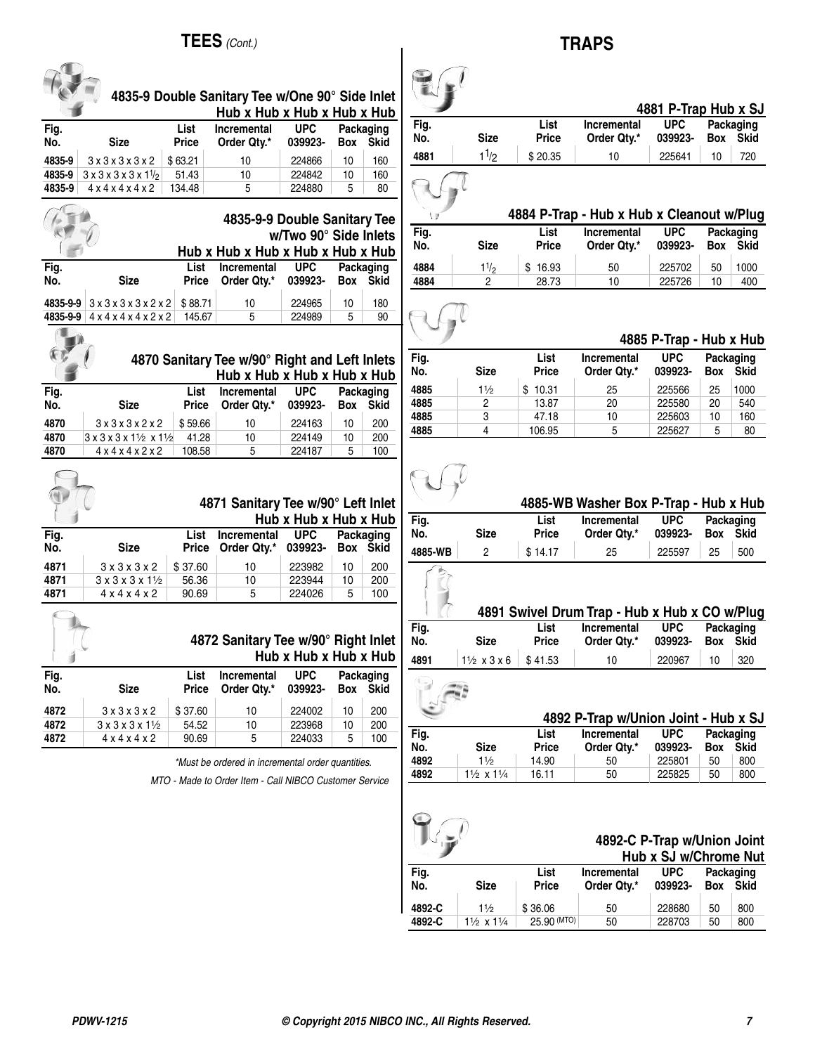## **TEES** *(Cont.)*

 $\sqrt{2}$ 

|             |                                                            |                             | $\blacksquare$ LLJ (CONL.)                                                     |                       |            |                          |                |                               |
|-------------|------------------------------------------------------------|-----------------------------|--------------------------------------------------------------------------------|-----------------------|------------|--------------------------|----------------|-------------------------------|
|             |                                                            |                             | 4835-9 Double Sanitary Tee w/One 90° Side Inlet<br>Hub x Hub x Hub x Hub x Hub |                       |            |                          |                |                               |
| Fig.<br>No. | <b>Size</b>                                                | List<br><b>Price</b>        | <b>Incremental</b><br>Order Qty.*                                              | <b>UPC</b><br>039923- | Box        | Packaging<br><b>Skid</b> | Fig.<br>No.    | Si:                           |
| 4835-9      | 3x3x3x3x2                                                  | \$63.21                     | 10                                                                             | 224866                | 10         | 160                      | 4881           | 1 <sup>1</sup>                |
| 4835-9      | $3 \times 3 \times 3 \times 3 \times 11_2$                 | 51.43                       | 10                                                                             | 224842                | 10         | 160                      |                |                               |
| 4835-9      | 4x4x4x4x2                                                  | 134.48                      | 5                                                                              | 224880                | 5          | 80                       |                |                               |
|             |                                                            |                             | 4835-9-9 Double Sanitary Tee<br>Hub x Hub x Hub x Hub x Hub x Hub              | w/Two 90° Side Inlets |            |                          | Fig.<br>No.    | Si:                           |
| Fig.        |                                                            | List                        | <b>Incremental</b>                                                             | <b>UPC</b>            |            | Packaging                | 4884           | 1 <sup>1</sup>                |
| No.         | <b>Size</b>                                                | <b>Price</b>                | Order Qty.*                                                                    | 039923-               | Box        | <b>Skid</b>              | 4884           | ź                             |
| 4835-9-9    | 3x3x3x3x2x2                                                | \$88.71                     | 10                                                                             | 224965                | 10         | 180                      |                |                               |
| 4835-9-9    | 4 x 4 x 4 x 4 x 2 x 2                                      | 145.67                      | 5                                                                              | 224989                | 5          | 90                       |                |                               |
|             |                                                            |                             |                                                                                |                       |            |                          |                |                               |
|             |                                                            |                             | 4870 Sanitary Tee w/90° Right and Left Inlets<br>Hub x Hub x Hub x Hub x Hub   |                       |            |                          | Fig.<br>No.    | <b>Siz</b>                    |
| Fig.        |                                                            | List                        | <b>Incremental</b>                                                             | <b>UPC</b>            |            | Packaging                | 4885           | 1 <sup>1</sup>                |
| No.         | <b>Size</b>                                                | <b>Price</b>                | Order Qty.*                                                                    | 039923-               | Box        | Skid                     | 4885           | $\overline{c}$                |
| 4870        | 3x3x3x2x2                                                  | \$59.66                     | 10                                                                             | 224163                | 10         | 200                      | 4885           | 3                             |
| 4870        | $3x3x3x1\frac{1}{2}x1\frac{1}{2}$                          | 41.28                       | 10                                                                             | 224149                | 10         | 200                      | 4885           | 4                             |
| 4870        | 4 x 4 x 4 x 2 x 2                                          | 108.58                      | 5                                                                              | 224187                | 5          | 100                      |                |                               |
|             |                                                            |                             | 4871 Sanitary Tee w/90° Left Inlet                                             | Hub x Hub x Hub x Hub |            |                          | Fig.           |                               |
| Fig.<br>No. | <b>Size</b>                                                | <b>List</b><br><b>Price</b> | <b>Incremental</b><br>Order Qty.*                                              | <b>UPC</b><br>039923- | <b>Box</b> | Packaging<br><b>Skid</b> | No.<br>4885-WB | <b>Siz</b><br>$\overline{c}$  |
| 4871        | 3x3x3x2                                                    | \$37.60                     | 10                                                                             | 223982                | 10         | 200                      |                |                               |
| 4871        | $3 \times 3 \times 3 \times 1$ <sup>1</sup> / <sub>2</sub> | 56.36                       | 10                                                                             | 223944                | 10         | 200                      |                |                               |
| 4871        | 4x4x4x2                                                    | 90.69                       | 5                                                                              | 224026                | 5          | 100                      |                |                               |
|             |                                                            |                             |                                                                                |                       |            |                          | Fig.           | 48                            |
|             |                                                            |                             | 4872 Sanitary Tee w/90° Right Inlet                                            | Hub x Hub x Hub x Hub |            |                          | No.<br>4891    | <b>Siz</b><br>$1\frac{1}{2}x$ |
| Fig.<br>No. | <b>Size</b>                                                | List<br><b>Price</b>        | Incremental<br>Order Qty.*                                                     | <b>UPC</b><br>039923- | Box        | Packaging<br><b>Skid</b> |                |                               |
| 4872        | 3x3x3x2                                                    | \$37.60                     | 10                                                                             | 224002                | 10         | 200                      |                |                               |
| 4872        | $3 \times 3 \times 3 \times 1$ <sup>1</sup> / <sub>2</sub> | 54.52                       | 10                                                                             | 223968                | 10         | 200                      |                |                               |
| 4872        | $4 \times 4 \times 4 \times 2$                             | 90.69                       | 5                                                                              | 224033                | 5          | 100                      | Fig.<br>No.    | Siz                           |
|             |                                                            |                             | *Must be ordered in incremental order quantities.                              |                       |            |                          | 4892           | 11                            |
|             |                                                            |                             | MTO - Made to Order Item - Call NIBCO Customer Service                         |                       |            |                          | 4892           | $1\frac{1}{2}x$               |
|             |                                                            |                             |                                                                                |                       |            |                          |                |                               |
|             |                                                            |                             |                                                                                |                       |            |                          | €              |                               |

## **TRAPS**

| 4881 P-Trap Hub x SJ |                   |                      |                                   |                       |            |                          |
|----------------------|-------------------|----------------------|-----------------------------------|-----------------------|------------|--------------------------|
| Fig.<br>No.          | <b>Size</b>       | List<br><b>Price</b> | <b>Incremental</b><br>Order Qtv.* | <b>UPC</b><br>039923- | <b>Box</b> | Packaging<br><b>Skid</b> |
| 4881                 | 1 <sup>1</sup> /2 | \$20.35              | 10                                | 225641                | 10         | 720                      |
|                      |                   |                      |                                   |                       |            |                          |

#### **4884 P-Trap - Hub x Hub x Cleanout w/Plug Incremental**

| .<br>No. | <b>Size</b> | -----<br><b>Price</b> | <br>Order Qtv.* | 039923- |    | Box Skid |  |
|----------|-------------|-----------------------|-----------------|---------|----|----------|--|
| 4884     | 11/2        | \$16.93               | 50              | 225702  | 50 | 1000     |  |
| 4884     |             | 28.73                 | 10              | 225726  | 10 | 400      |  |

#### **4885 P-Trap - Hub x Hub**

| Fig. |                | List         | <b>Incremental</b> | <b>UPC</b> |            | Packaging |  |
|------|----------------|--------------|--------------------|------------|------------|-----------|--|
| No.  | <b>Size</b>    | <b>Price</b> | Order Qty.*        | 039923-    | <b>Box</b> | Skid      |  |
| 4885 | $1\frac{1}{2}$ | 10.31        | 25                 | 225566     | 25         | 1000      |  |
| 4885 | 2              | 13.87        | 20                 | 225580     | 20         | 540       |  |
| 4885 | 3              | 47.18        | 10                 | 225603     | 10         | 160       |  |
| 4885 | 4              | 106.95       | 5                  | 225627     | 5          | 80        |  |

|             |             |                      | 4885-WB Washer Box P-Trap - Hub x Hub |                       |                          |     |
|-------------|-------------|----------------------|---------------------------------------|-----------------------|--------------------------|-----|
| Fig.<br>No. | <b>Size</b> | List<br><b>Price</b> | Incremental<br>Order Qtv.*            | <b>UPC</b><br>039923- | Packaging<br>Skid<br>Box |     |
| 4885-WB     |             | \$14.17              | 25                                    | 225597                | 25                       | 500 |

| 4891 Swivel Drum Trap - Hub x Hub x CO w/Plug |
|-----------------------------------------------|
|-----------------------------------------------|

| Fig. |                                  | List         | <b>Incremental</b> | <b>UPC</b> |          | Packaging |  |
|------|----------------------------------|--------------|--------------------|------------|----------|-----------|--|
| No.  | Size                             | <b>Price</b> | Order Qtv.*        | 039923-    | Box Skid |           |  |
| 4891 | $1\frac{1}{2}$ x 3 x 6 \ \$41.53 |              | 10                 | 220967     | 10       | 320       |  |
|      |                                  |              |                    |            |          |           |  |

|             |                                    |                      | 4892 P-Trap w/Union Joint - Hub x SJ |                       |            |                          |  |
|-------------|------------------------------------|----------------------|--------------------------------------|-----------------------|------------|--------------------------|--|
| Fig.<br>No. | Size                               | List<br><b>Price</b> | <b>Incremental</b><br>Order Qtv.*    | <b>UPC</b><br>039923- | <b>Box</b> | Packaging<br><b>Skid</b> |  |
| 4892        | 11/2                               | 14.90                | 50                                   | 225801                | 50         | 800                      |  |
| 4892        | $1\frac{1}{2} \times 1\frac{1}{4}$ | 16.11                | 50                                   | 225825                | 50         | 800                      |  |

| 4892-C P-Trap w/Union Joint<br>Hub x SJ w/Chrome Nut |                                    |                      |                            |                       |     |                          |
|------------------------------------------------------|------------------------------------|----------------------|----------------------------|-----------------------|-----|--------------------------|
| Fig.<br>No.                                          | <b>Size</b>                        | List<br><b>Price</b> | Incremental<br>Order Qtv.* | <b>UPC</b><br>039923- | Box | Packaging<br><b>Skid</b> |
| 4892-C                                               | $1\frac{1}{2}$                     | \$36.06              | 50                         | 228680                | 50  | 800                      |
| 4892-C                                               | $1\frac{1}{2} \times 1\frac{1}{4}$ | 25.90 (MTO)          | 50                         | 228703                | 50  | 800                      |